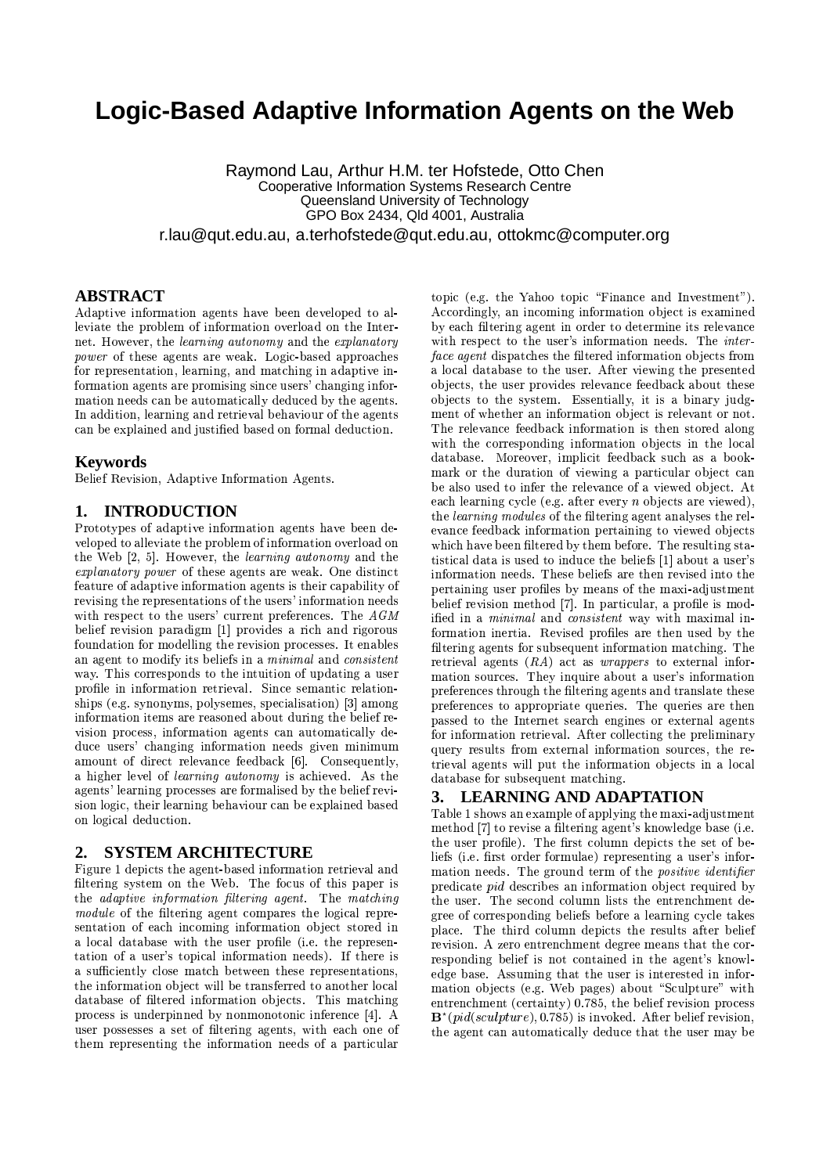# Logic-Based Adaptive Information Agents on the Web

Raymond Lau, Arthur H.M. ter Hofstede, Otto Chen **Cooperative Information Systems Research Centre** Queensland University of Technology GPO Box 2434, Qld 4001, Australia r.lau@qut.edu.au, a.terhofstede@qut.edu.au, ottokmc@computer.org

# **ABSTRACT**

Adaptive information agents have been developed to alleviate the problem of information overload on the Internet. However, the learning autonomy and the explanatory *power* of these agents are weak. Logic-based approaches for representation, learning, and matching in adaptive information agents are promising since users' changing information needs can be automatically deduced by the agents. In addition, learning and retrieval behaviour of the agents can be explained and justified based on formal deduction.

## **Keywords**

Belief Revision, Adaptive Information Agents.

## 1. INTRODUCTION

Prototypes of adaptive information agents have been developed to alleviate the problem of information overload on the Web [2, 5]. However, the learning autonomy and the explanatory power of these agents are weak. One distinct feature of adaptive information agents is their capability of revising the representations of the users' information needs with respect to the users' current preferences. The  $AGM$ belief revision paradigm [1] provides a rich and rigorous foundation for modelling the revision processes. It enables an agent to modify its beliefs in a minimal and consistent way. This corresponds to the intuition of updating a user profile in information retrieval. Since semantic relationships (e.g. synonyms, polysemes, specialisation) [3] among information items are reasoned about during the belief revision process, information agents can automatically deduce users' changing information needs given minimum amount of direct relevance feedback [6]. Consequently, a higher level of learning autonomy is achieved. As the agents' learning processes are formalised by the belief revision logic, their learning behaviour can be explained based on logical deduction.

#### **SYSTEM ARCHITECTURE** 2.

Figure 1 depicts the agent-based information retrieval and filtering system on the Web. The focus of this paper is the adaptive information filtering agent. The matching *module* of the filtering agent compares the logical representation of each incoming information object stored in a local database with the user profile (i.e. the representation of a user's topical information needs). If there is a sufficiently close match between these representations. the information object will be transferred to another local database of filtered information objects. This matching process is underpinned by nonmonotonic inference [4]. A user possesses a set of filtering agents, with each one of them representing the information needs of a particular

topic (e.g. the Yahoo topic "Finance and Investment"). Accordingly, an incoming information object is examined by each filtering agent in order to determine its relevance with respect to the user's information needs. The interface agent dispatches the filtered information objects from a local database to the user. After viewing the presented objects, the user provides relevance feedback about these objects to the system. Essentially, it is a binary judgment of whether an information object is relevant or not. The relevance feedback information is then stored along with the corresponding information objects in the local database. Moreover, implicit feedback such as a bookmark or the duration of viewing a particular object can be also used to infer the relevance of a viewed object. At each learning cycle (e.g. after every *n* objects are viewed). the *learning modules* of the filtering agent analyses the relevance feedback information pertaining to viewed objects which have been filtered by them before. The resulting statistical data is used to induce the beliefs [1] about a user's information needs. These beliefs are then revised into the pertaining user profiles by means of the maxi-adjustment belief revision method [7]. In particular, a profile is modified in a *minimal* and *consistent* way with maximal information inertia. Revised profiles are then used by the filtering agents for subsequent information matching. The retrieval agents  $(RA)$  act as *wrappers* to external information sources. They inquire about a user's information preferences through the filtering agents and translate these preferences to appropriate queries. The queries are then passed to the Internet search engines or external agents for information retrieval. After collecting the preliminary query results from external information sources, the retrieval agents will put the information objects in a local database for subsequent matching.

#### 3. **LEARNING AND ADAPTATION**

Table 1 shows an example of applying the maxi-adjustment method [7] to revise a filtering agent's knowledge base (i.e. the user profile). The first column depicts the set of beliefs (i.e. first order formulae) representing a user's information needs. The ground term of the *positive identifier* predicate *pid* describes an information object required by the user. The second column lists the entrenchment degree of corresponding beliefs before a learning cycle takes place. The third column depicts the results after belief revision. A zero entrenchment degree means that the corresponding belief is not contained in the agent's knowledge base. Assuming that the user is interested in information objects (e.g. Web pages) about "Sculpture" with entrenchment (certainty) 0.785, the belief revision process  $\mathbf{B}^{\star}(pid(sculpture), 0.785)$  is invoked. After belief revision, the agent can automatically deduce that the user may be